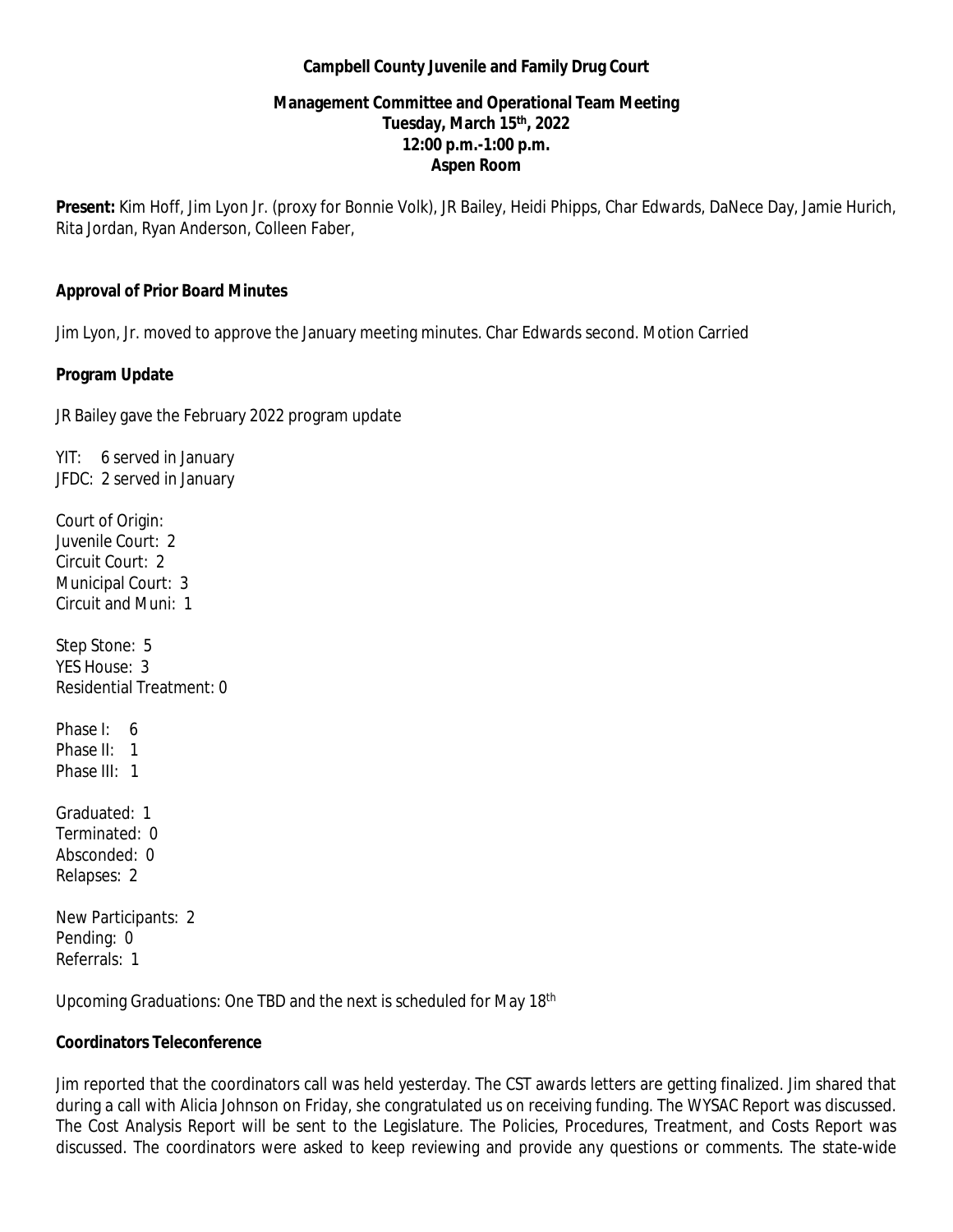#### **Campbell County Juvenile and Family Drug Court**

#### **Management Committee and Operational Team Meeting Tuesday, March 15 th, 2022 12:00 p.m.-1:00 p.m. Aspen Room**

**Present:** Kim Hoff, Jim Lyon Jr. (proxy for Bonnie Volk), JR Bailey, Heidi Phipps, Char Edwards, DaNece Day, Jamie Hurich, Rita Jordan, Ryan Anderson, Colleen Faber,

#### **Approval of Prior Board Minutes**

Jim Lyon, Jr. moved to approve the January meeting minutes. Char Edwards second. Motion Carried

#### **Program Update**

JR Bailey gave the February 2022 program update

YIT: 6 served in January JFDC: 2 served in January

Court of Origin: Juvenile Court: 2 Circuit Court: 2 Municipal Court: 3 Circuit and Muni: 1

Step Stone: 5 YES House: 3 Residential Treatment: 0

Phase I: 6 Phase II: 1 Phase III: 1

Graduated: 1 Terminated: 0 Absconded: 0 Relapses: 2

New Participants: 2 Pending: 0 Referrals: 1

Upcoming Graduations: One TBD and the next is scheduled for May 18th

# **Coordinators Teleconference**

Jim reported that the coordinators call was held yesterday. The CST awards letters are getting finalized. Jim shared that during a call with Alicia Johnson on Friday, she congratulated us on receiving funding. The WYSAC Report was discussed. The Cost Analysis Report will be sent to the Legislature. The Policies, Procedures, Treatment, and Costs Report was discussed. The coordinators were asked to keep reviewing and provide any questions or comments. The state-wide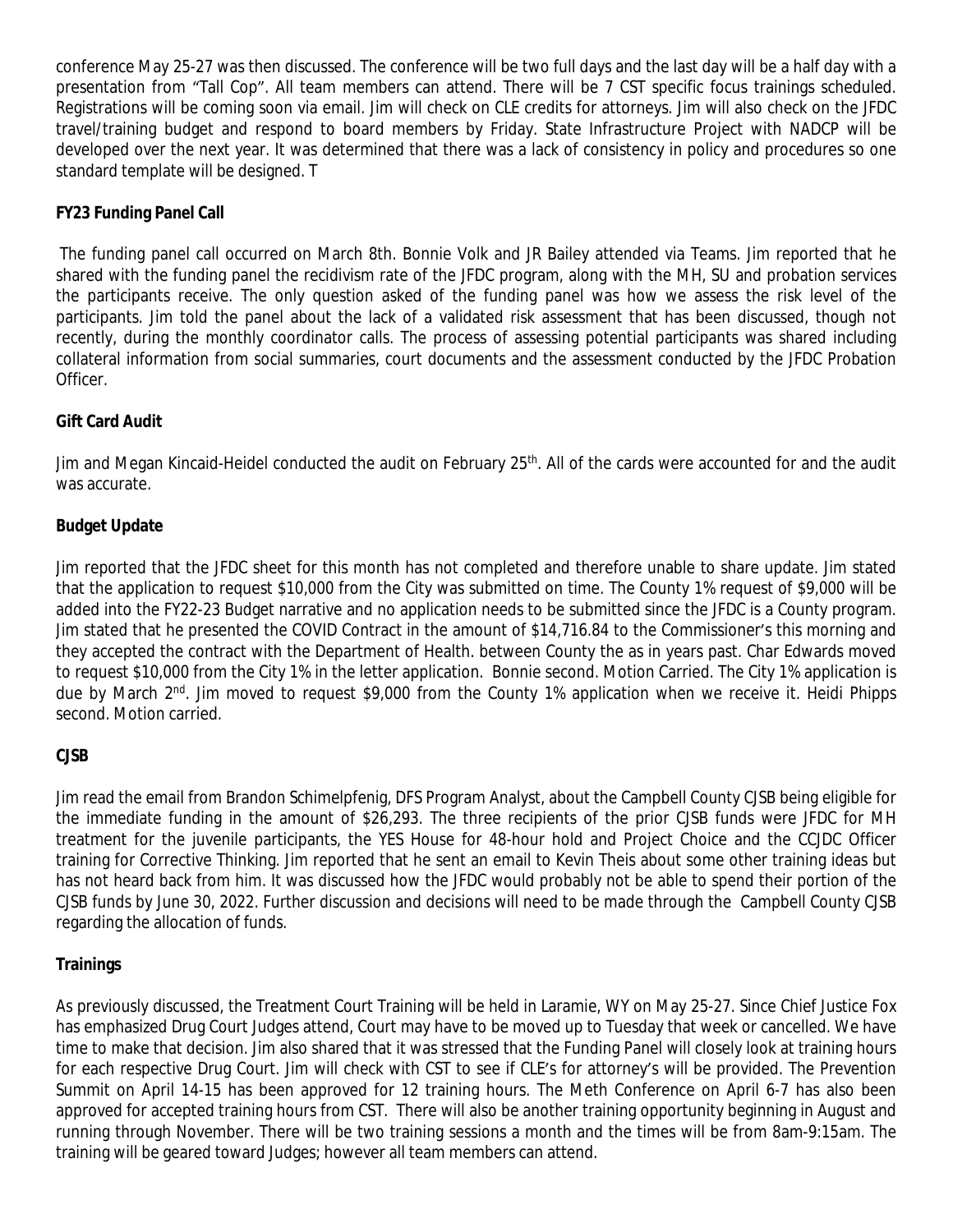conference May 25-27 was then discussed. The conference will be two full days and the last day will be a half day with a presentation from "Tall Cop". All team members can attend. There will be 7 CST specific focus trainings scheduled. Registrations will be coming soon via email. Jim will check on CLE credits for attorneys. Jim will also check on the JFDC travel/training budget and respond to board members by Friday. State Infrastructure Project with NADCP will be developed over the next year. It was determined that there was a lack of consistency in policy and procedures so one standard template will be designed. T

# **FY23 Funding Panel Call**

The funding panel call occurred on March 8th. Bonnie Volk and JR Bailey attended via Teams. Jim reported that he shared with the funding panel the recidivism rate of the JFDC program, along with the MH, SU and probation services the participants receive. The only question asked of the funding panel was how we assess the risk level of the participants. Jim told the panel about the lack of a validated risk assessment that has been discussed, though not recently, during the monthly coordinator calls. The process of assessing potential participants was shared including collateral information from social summaries, court documents and the assessment conducted by the JFDC Probation Officer.

# **Gift Card Audit**

Jim and Megan Kincaid-Heidel conducted the audit on February 25<sup>th</sup>. All of the cards were accounted for and the audit was accurate.

# **Budget Update**

Jim reported that the JFDC sheet for this month has not completed and therefore unable to share update. Jim stated that the application to request \$10,000 from the City was submitted on time. The County 1% request of \$9,000 will be added into the FY22-23 Budget narrative and no application needs to be submitted since the JFDC is a County program. Jim stated that he presented the COVID Contract in the amount of \$14,716.84 to the Commissioner's this morning and they accepted the contract with the Department of Health. between County the as in years past. Char Edwards moved to request \$10,000 from the City 1% in the letter application. Bonnie second. Motion Carried. The City 1% application is due by March 2<sup>nd</sup>. Jim moved to request \$9,000 from the County 1% application when we receive it. Heidi Phipps second. Motion carried.

# **CJSB**

Jim read the email from Brandon Schimelpfenig, DFS Program Analyst, about the Campbell County CJSB being eligible for the immediate funding in the amount of \$26,293. The three recipients of the prior CJSB funds were JFDC for MH treatment for the juvenile participants, the YES House for 48-hour hold and Project Choice and the CCJDC Officer training for Corrective Thinking. Jim reported that he sent an email to Kevin Theis about some other training ideas but has not heard back from him. It was discussed how the JFDC would probably not be able to spend their portion of the CJSB funds by June 30, 2022. Further discussion and decisions will need to be made through the Campbell County CJSB regarding the allocation of funds.

# **Trainings**

As previously discussed, the Treatment Court Training will be held in Laramie, WY on May 25-27. Since Chief Justice Fox has emphasized Drug Court Judges attend, Court may have to be moved up to Tuesday that week or cancelled. We have time to make that decision. Jim also shared that it was stressed that the Funding Panel will closely look at training hours for each respective Drug Court. Jim will check with CST to see if CLE's for attorney's will be provided. The Prevention Summit on April 14-15 has been approved for 12 training hours. The Meth Conference on April 6-7 has also been approved for accepted training hours from CST. There will also be another training opportunity beginning in August and running through November. There will be two training sessions a month and the times will be from 8am-9:15am. The training will be geared toward Judges; however all team members can attend.